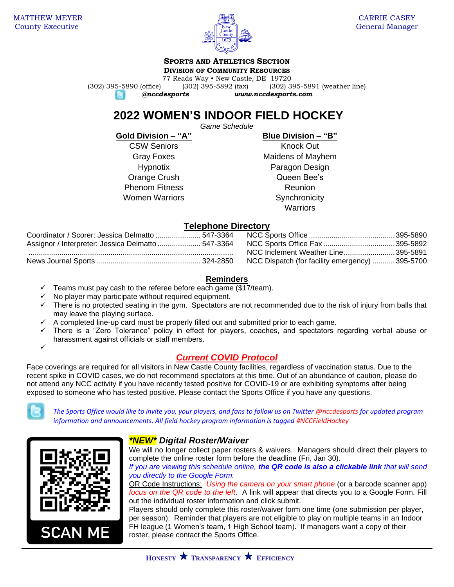

## **SPORTS AND ATHLETICS SECTION**

**DIVISION OF COMMUNITY RESOURCES**

77 Reads Way • New Castle, DE 19720 (302) 395-5890 (office) (302) 395-5892 (fax) (302) 395-5891 (weather line) e.

*@nccdesports www.nccdesports.com*

# **2022 WOMEN'S INDOOR FIELD HOCKEY**

*Game Schedule*

**Gold Division – "A" Blue Division – "B"**

CSW Seniors **Knock Out** Phenom Fitness **Reunion** Women Warriors **Synchronicity** 

Gray Foxes **Maidens of Mayhem** Hypnotix Paragon Design Orange Crush Crush Queen Bee's **Warriors** 

## **Telephone Directory**

| Coordinator / Scorer: Jessica Delmatto  547-3364   |  |
|----------------------------------------------------|--|
| Assignor / Interpreter: Jessica Delmatto  547-3364 |  |
|                                                    |  |
|                                                    |  |

Coordinator / Scorer: Jessica Delmatto ...................... 547-3364 NCC Sports Office ..........................................395-5890 Assignor / Interpreter: Jessica Delmatto ..................... 547-3364 NCC Sports Office Fax ...................................395-5892 .................................................................................................... NCC Inclement Weather Line.........................395-5891 NCC Dispatch (for facility emergency) ............395-5700

## **Reminders**

- Teams must pay cash to the referee before each game (\$17/team).
- $\checkmark$  No player may participate without required equipment.
- ✓ There is no protected seating in the gym. Spectators are not recommended due to the risk of injury from balls that may leave the playing surface.
- $\checkmark$  A completed line-up card must be properly filled out and submitted prior to each game.
- ✓ There is a "Zero Tolerance" policy in effect for players, coaches, and spectators regarding verbal abuse or harassment against officials or staff members.

## *Current COVID Protocol*

Face coverings are required for all visitors in New Castle County facilities, regardless of vaccination status. Due to the recent spike in COVID cases, we do not recommend spectators at this time. Out of an abundance of caution, please do not attend any NCC activity if you have recently tested positive for COVID-19 or are exhibiting symptoms after being exposed to someone who has tested positive. Please contact the Sports Office if you have any questions.



✓

*The Sports Office would like to invite you, your players, and fans to follow us on Twitter [@nccdesports](http://www.twitter.com/nccdesports) for updated program information and announcements. All field hockey program information is tagged #NCCFieldHockey*



## *\*NEW\* Digital Roster/Waiver*

We will no longer collect paper rosters & waivers. Managers should direct their players to complete the online roster form before the deadline (Fri, Jan 30).

*If you are viewing this schedule online, the QR code is also a clickable link that will send you directly to the Google Form.*

QR Code Instructions: *Using the camera on your smart phone* (or a barcode scanner app) *focus on the QR code to the left*. A link will appear that directs you to a Google Form. Fill out the individual roster information and click submit.

Players should only complete this roster/waiver form one time (one submission per player, per season). Reminder that players are not eligible to play on multiple teams in an Indoor FH league (1 Women's team, 1 High School team). If managers want a copy of their roster, please contact the Sports Office.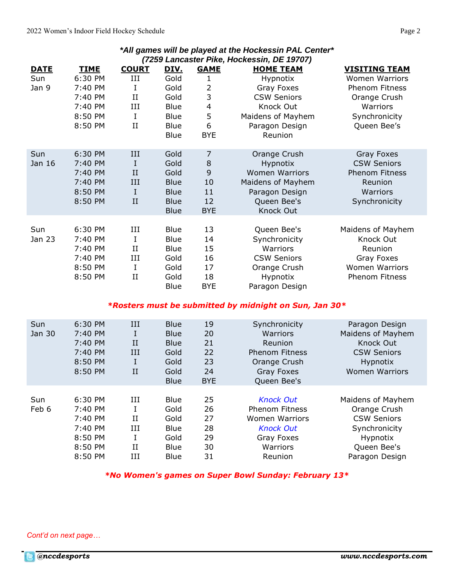| All gallies will be played at the Hockessin FAL Center<br>(7259 Lancaster Pike, Hockessin, DE 19707) |             |              |             |                         |                       |                       |
|------------------------------------------------------------------------------------------------------|-------------|--------------|-------------|-------------------------|-----------------------|-----------------------|
| <b>DATE</b>                                                                                          | <b>TIME</b> | <b>COURT</b> | <u>DIV.</u> | <b>GAME</b>             | <b>HOME TEAM</b>      | <b>VISITING TEAM</b>  |
| Sun                                                                                                  | 6:30 PM     | Ш            | Gold        | 1                       | Hypnotix              | <b>Women Warriors</b> |
| Jan 9                                                                                                | 7:40 PM     | I            | Gold        | 2                       | Gray Foxes            | Phenom Fitness        |
|                                                                                                      | 7:40 PM     | $_{II}$      | Gold        | 3                       | <b>CSW Seniors</b>    | Orange Crush          |
|                                                                                                      | 7:40 PM     | III          | <b>Blue</b> | $\overline{\mathbf{4}}$ | Knock Out             | Warriors              |
|                                                                                                      | 8:50 PM     | I            | <b>Blue</b> | 5                       | Maidens of Mayhem     | Synchronicity         |
|                                                                                                      | 8:50 PM     | $_{II}$      | <b>Blue</b> | 6                       | Paragon Design        | Queen Bee's           |
|                                                                                                      |             |              | <b>Blue</b> | <b>BYE</b>              | Reunion               |                       |
| Sun                                                                                                  | 6:30 PM     | Ш            | Gold        | 7                       | Orange Crush          | Gray Foxes            |
| Jan 16                                                                                               | 7:40 PM     | I            | Gold        | 8                       | Hypnotix              | <b>CSW Seniors</b>    |
|                                                                                                      | 7:40 PM     | II           | Gold        | 9                       | <b>Women Warriors</b> | <b>Phenom Fitness</b> |
|                                                                                                      | 7:40 PM     | III          | <b>Blue</b> | 10                      | Maidens of Mayhem     | Reunion               |
|                                                                                                      | 8:50 PM     | $\mathbf I$  | <b>Blue</b> | 11                      | Paragon Design        | Warriors              |
|                                                                                                      | 8:50 PM     | II           | <b>Blue</b> | 12                      | Queen Bee's           | Synchronicity         |
|                                                                                                      |             |              | <b>Blue</b> | <b>BYE</b>              | Knock Out             |                       |
| Sun                                                                                                  | 6:30 PM     | III          | <b>Blue</b> | 13                      | Queen Bee's           | Maidens of Mayhem     |
| Jan 23                                                                                               | 7:40 PM     | I            | <b>Blue</b> | 14                      | Synchronicity         | Knock Out             |
|                                                                                                      | 7:40 PM     | $_{II}$      | <b>Blue</b> | 15                      | Warriors              | Reunion               |
|                                                                                                      | 7:40 PM     | III          | Gold        | 16                      | <b>CSW Seniors</b>    | Gray Foxes            |
|                                                                                                      | 8:50 PM     | I            | Gold        | 17                      | Orange Crush          | <b>Women Warriors</b> |
|                                                                                                      | 8:50 PM     | II           | Gold        | 18                      | Hypnotix              | Phenom Fitness        |
|                                                                                                      |             |              | <b>Blue</b> | <b>BYE</b>              | Paragon Design        |                       |
|                                                                                                      |             |              |             |                         |                       |                       |

*\*All games will be played at the Hockessin PAL Center\**

## *\*Rosters must be submitted by midnight on Sun, Jan 30\**

| Sun    | 6:30 PM | III         | <b>Blue</b> | 19         | Synchronicity         | Paragon Design        |
|--------|---------|-------------|-------------|------------|-----------------------|-----------------------|
| Jan 30 | 7:40 PM | I           | <b>Blue</b> | 20         | Warriors              | Maidens of Mayhem     |
|        | 7:40 PM | $_{\rm II}$ | <b>Blue</b> | 21         | Reunion               | Knock Out             |
|        | 7:40 PM | Ш           | Gold        | 22         | <b>Phenom Fitness</b> | <b>CSW Seniors</b>    |
|        | 8:50 PM | I           | Gold        | 23         | Orange Crush          | <b>Hypnotix</b>       |
|        | 8:50 PM | $_{\rm II}$ | Gold        | 24         | Gray Foxes            | <b>Women Warriors</b> |
|        |         |             | <b>Blue</b> | <b>BYE</b> | Queen Bee's           |                       |
|        |         |             |             |            |                       |                       |
| Sun    | 6:30 PM | Ш           | <b>Blue</b> | 25         | <b>Knock Out</b>      | Maidens of Mayhem     |
| Feb 6  | 7:40 PM |             | Gold        | 26         | <b>Phenom Fitness</b> | Orange Crush          |
|        | 7:40 PM | Н           | Gold        | 27         | <b>Women Warriors</b> | <b>CSW Seniors</b>    |
|        | 7:40 PM | Ш           | Blue        | 28         | <b>Knock Out</b>      | Synchronicity         |
|        | 8:50 PM | I           | Gold        | 29         | Gray Foxes            | Hypnotix              |
|        | 8:50 PM | П           | Blue        | 30         | Warriors              | Queen Bee's           |
|        | 8:50 PM | Ш           | <b>Blue</b> | 31         | Reunion               | Paragon Design        |
|        |         |             |             |            |                       |                       |

*\*No Women's games on Super Bowl Sunday: February 13\**

*Cont'd on next page…*